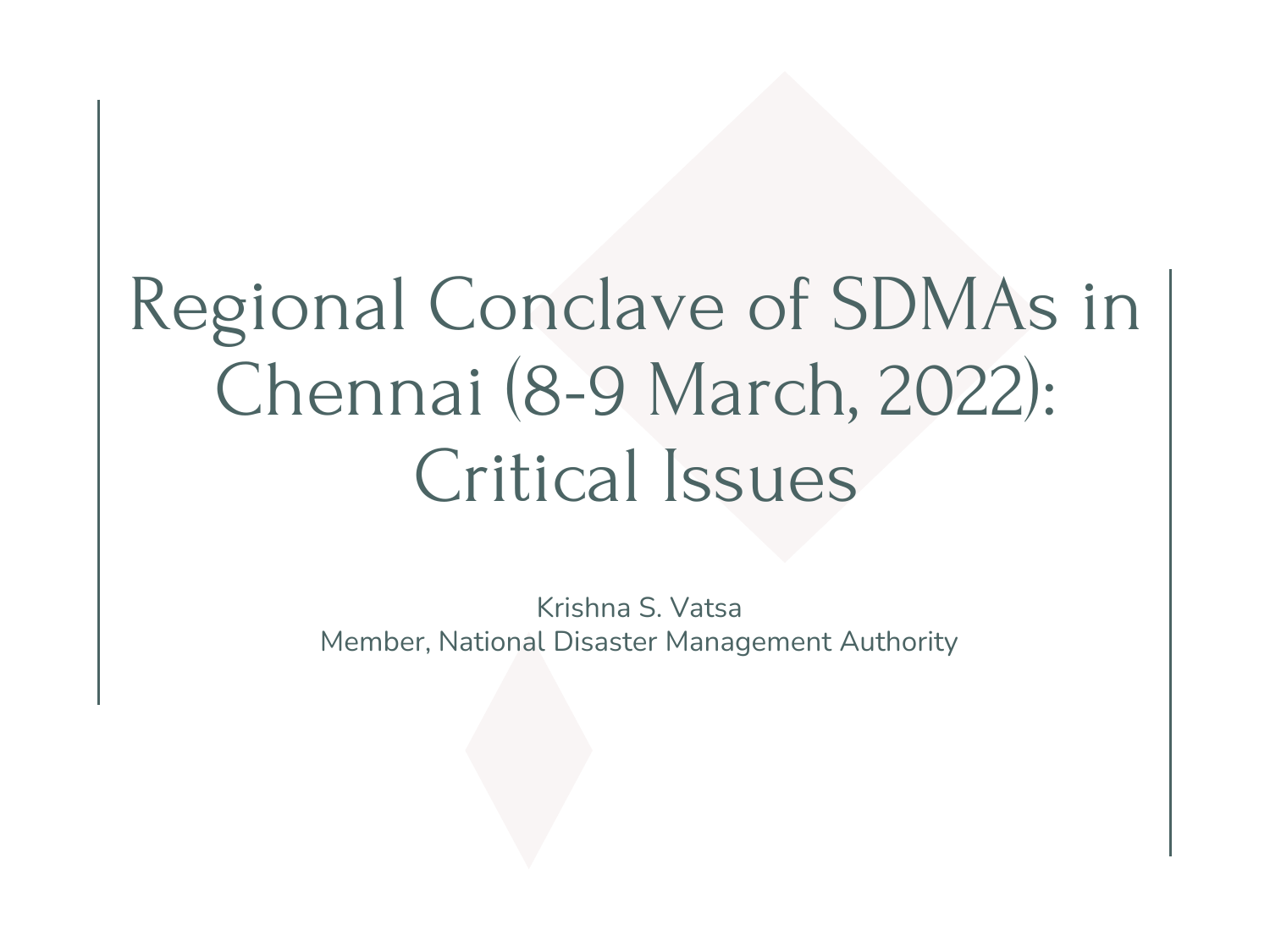# Regional Conclave of SDMAs in Chennai (8-9 March, 2022): Critical Issues

Krishna S. Vatsa Member, National Disaster Management Authority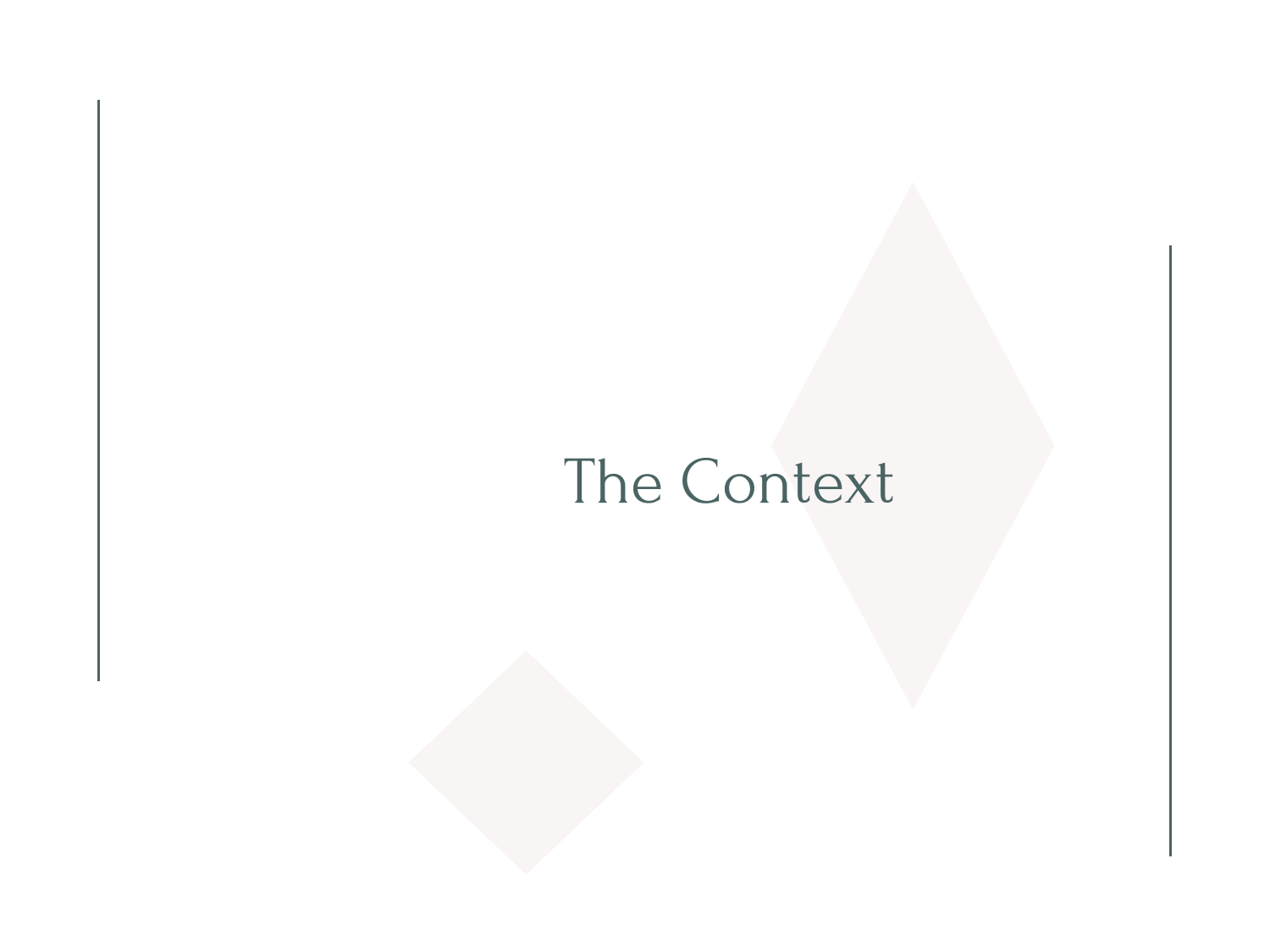# The Context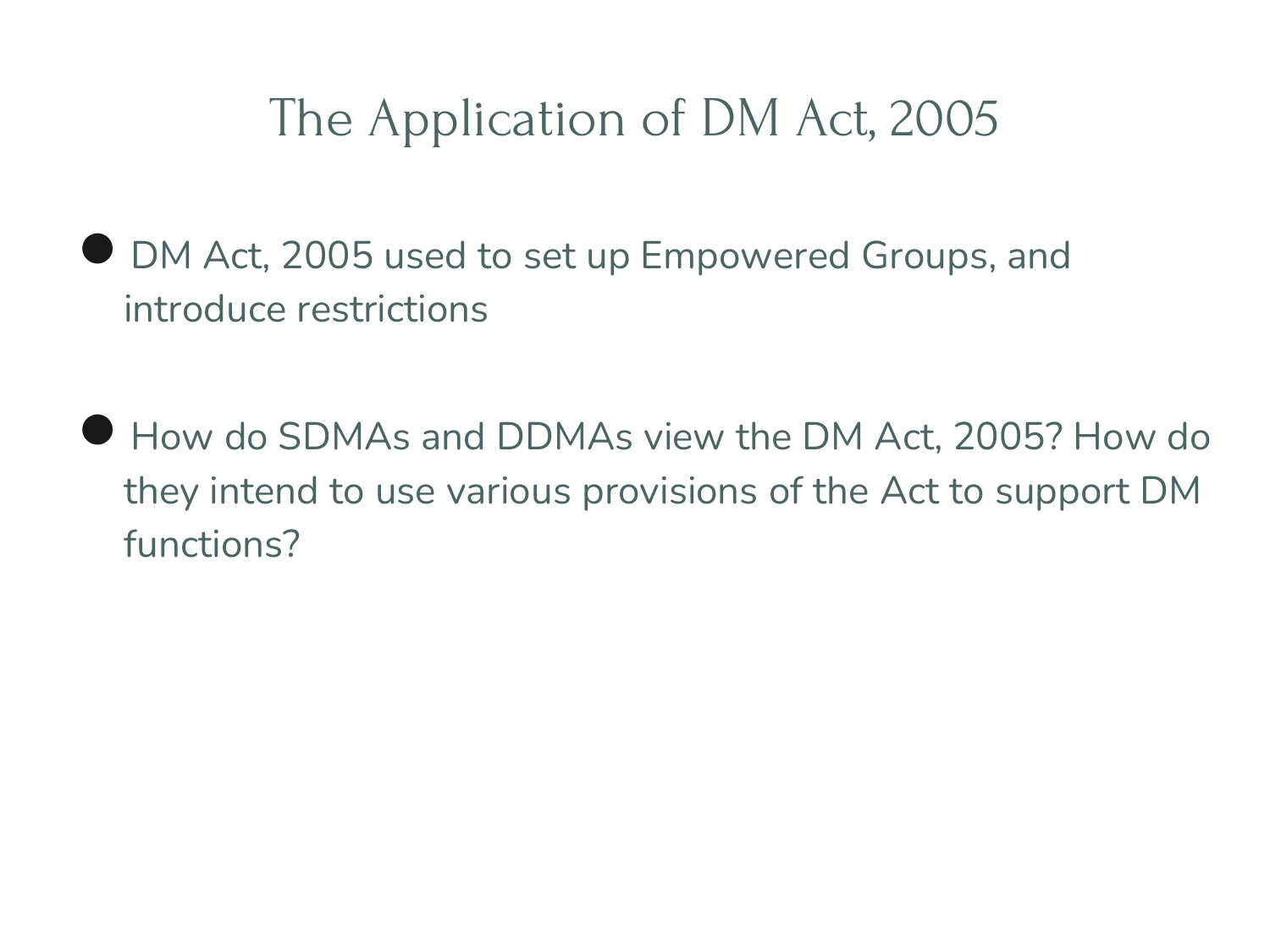## The Application of DM Act, 2005

- DM Act, 2005 used to set up Empowered Groups, and introduce restrictions
- How do SDMAs and DDMAs view the DM Act, 2005? How do they intend to use various provisions of the Act to support DM functions?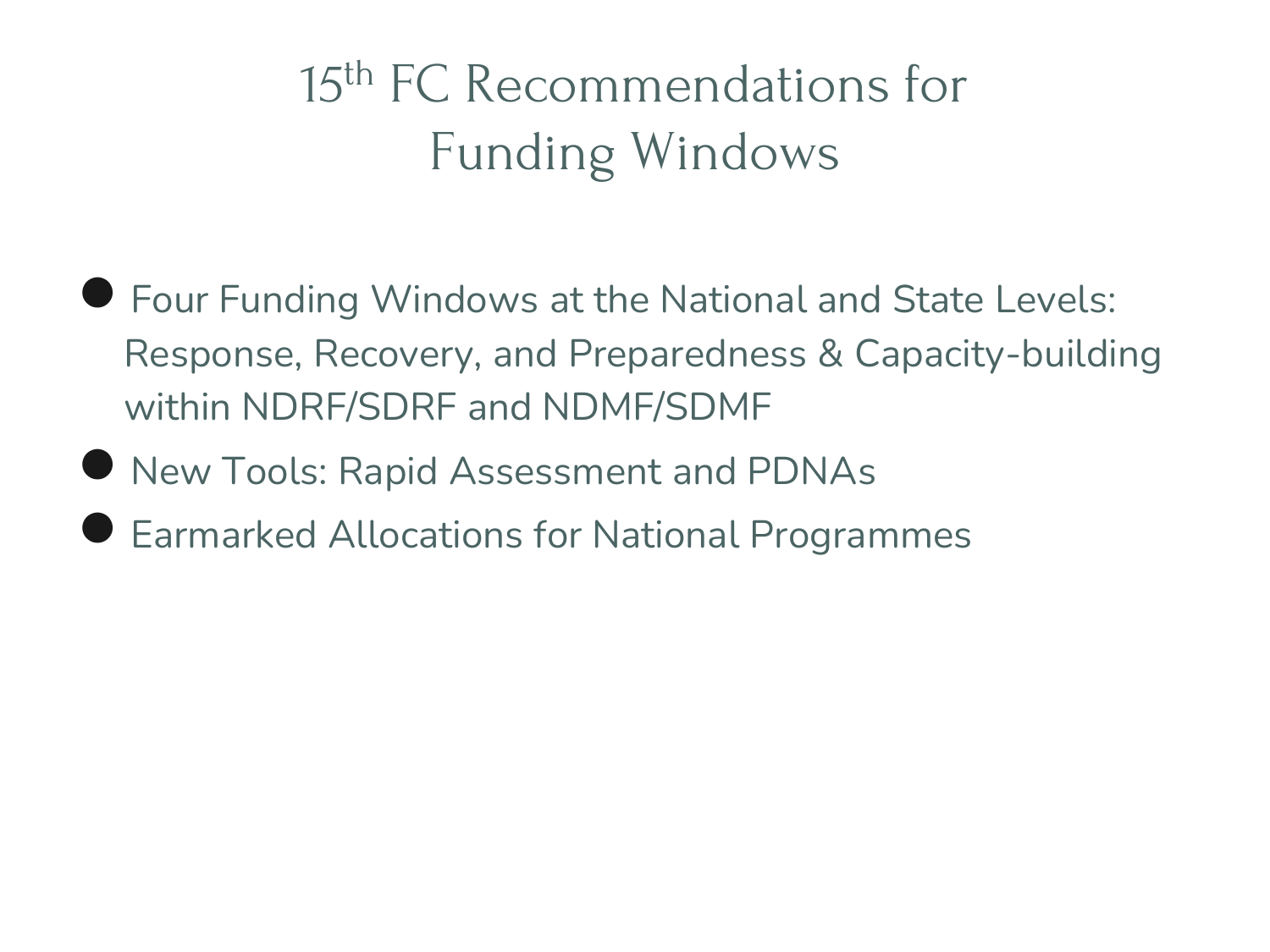# 15th FC Recommendations for Funding Windows

- Four Funding Windows at the National and State Levels: Response, Recovery, and Preparedness & Capacity-building within NDRF/SDRF and NDMF/SDMF
- New Tools: Rapid Assessment and PDNAs
- **Earmarked Allocations for National Programmes**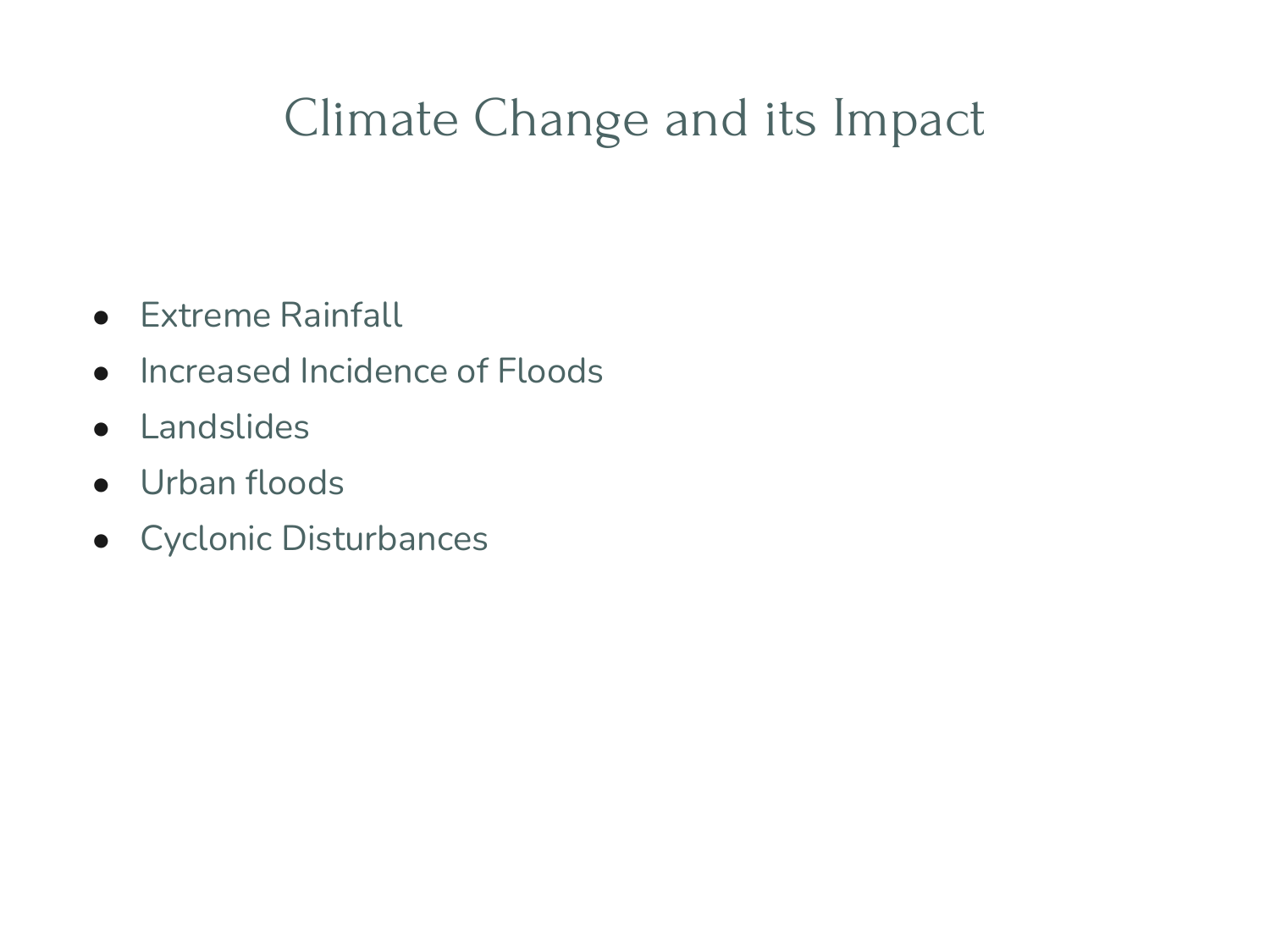# Climate Change and its Impact

- **•** Extreme Rainfall
- Increased Incidence of Floods
- Landslides
- Urban floods
- Cyclonic Disturbances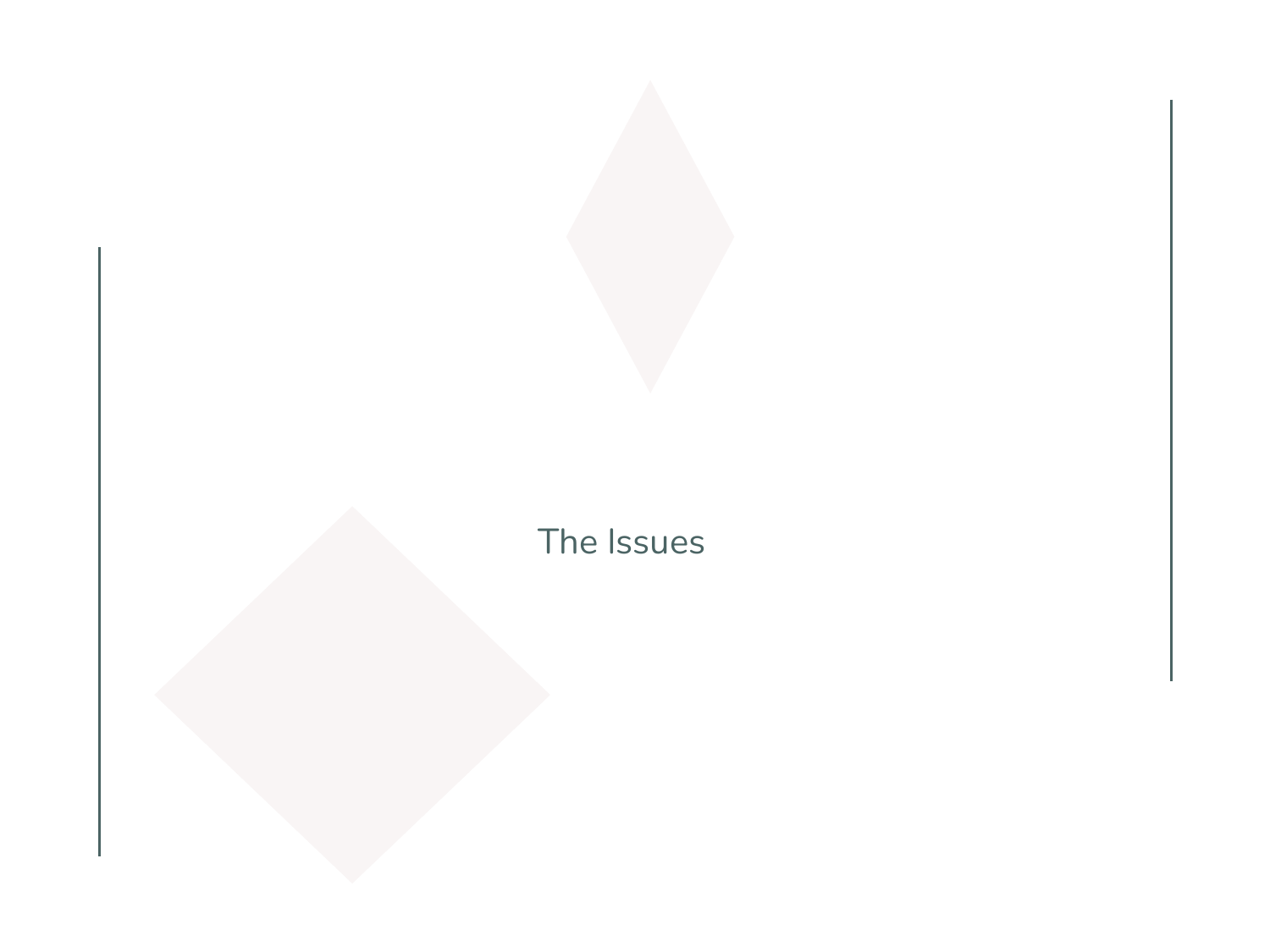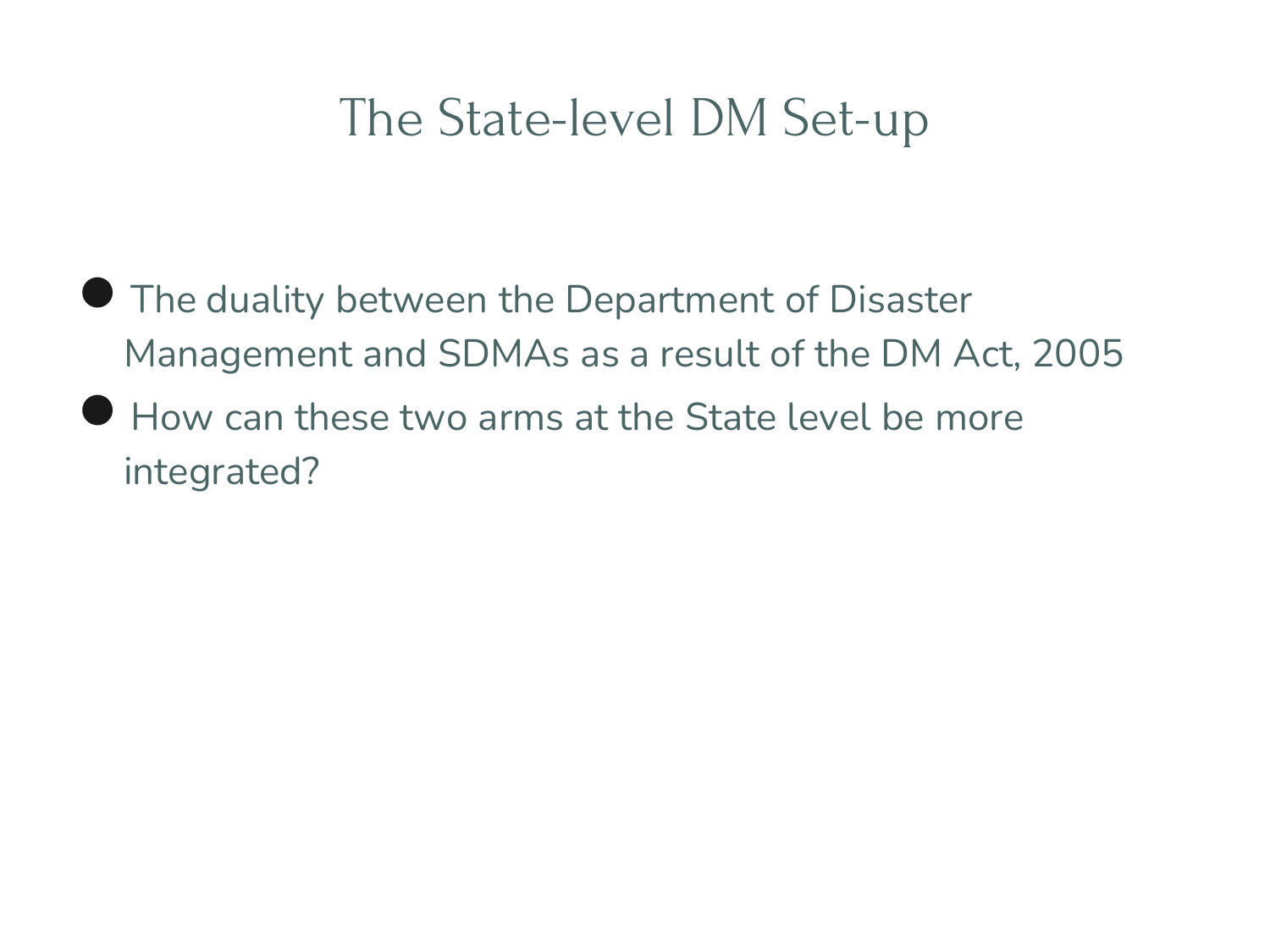#### The State-level DM Set-up

- **The duality between the Department of Disaster** Management and SDMAs as a result of the DM Act, 2005
- How can these two arms at the State level be more integrated?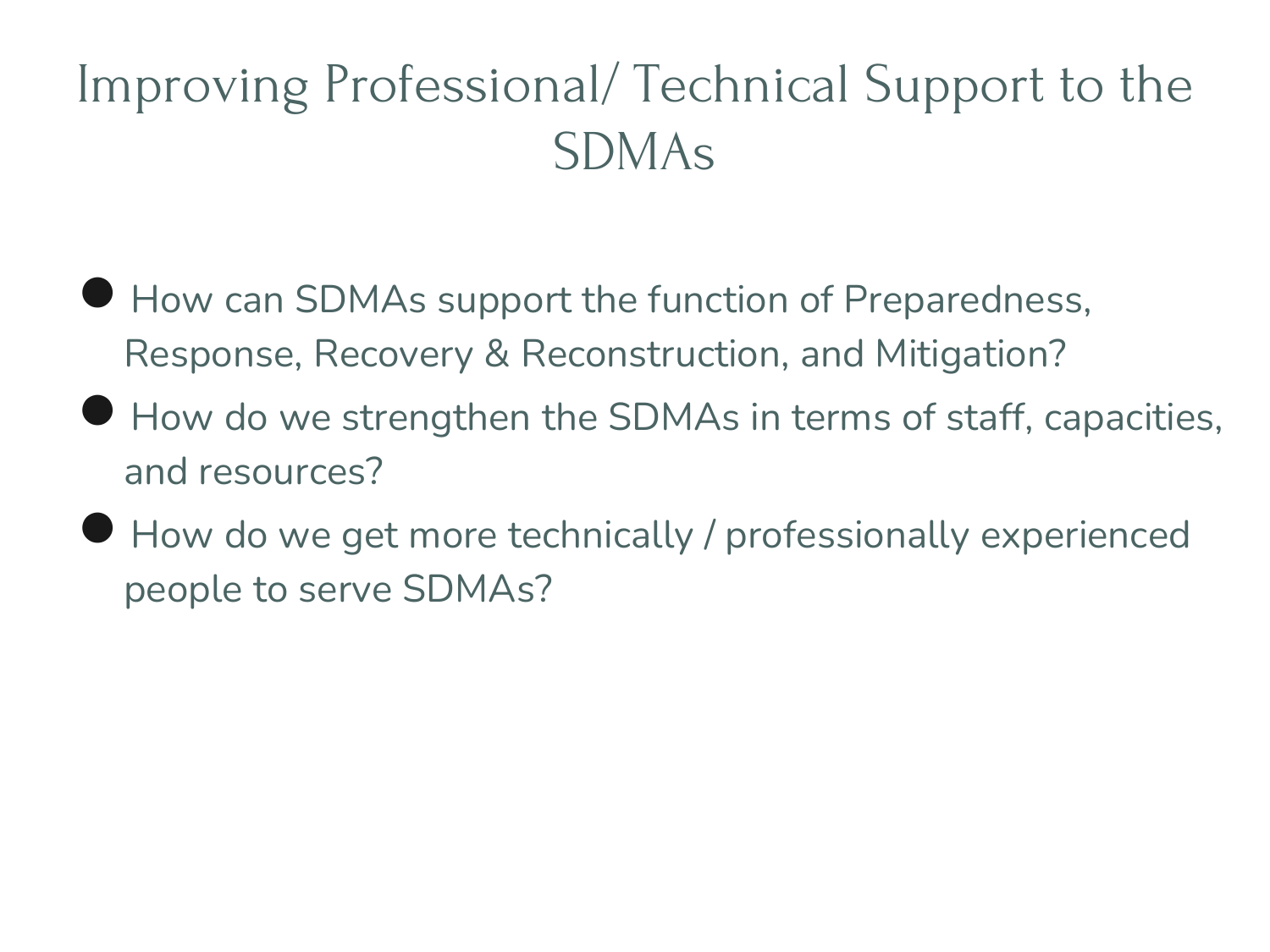# Improving Professional/ Technical Support to the SDMAs

- How can SDMAs support the function of Preparedness, Response, Recovery & Reconstruction, and Mitigation?
- How do we strengthen the SDMAs in terms of staff, capacities, and resources?
- How do we get more technically / professionally experienced people to serve SDMAs?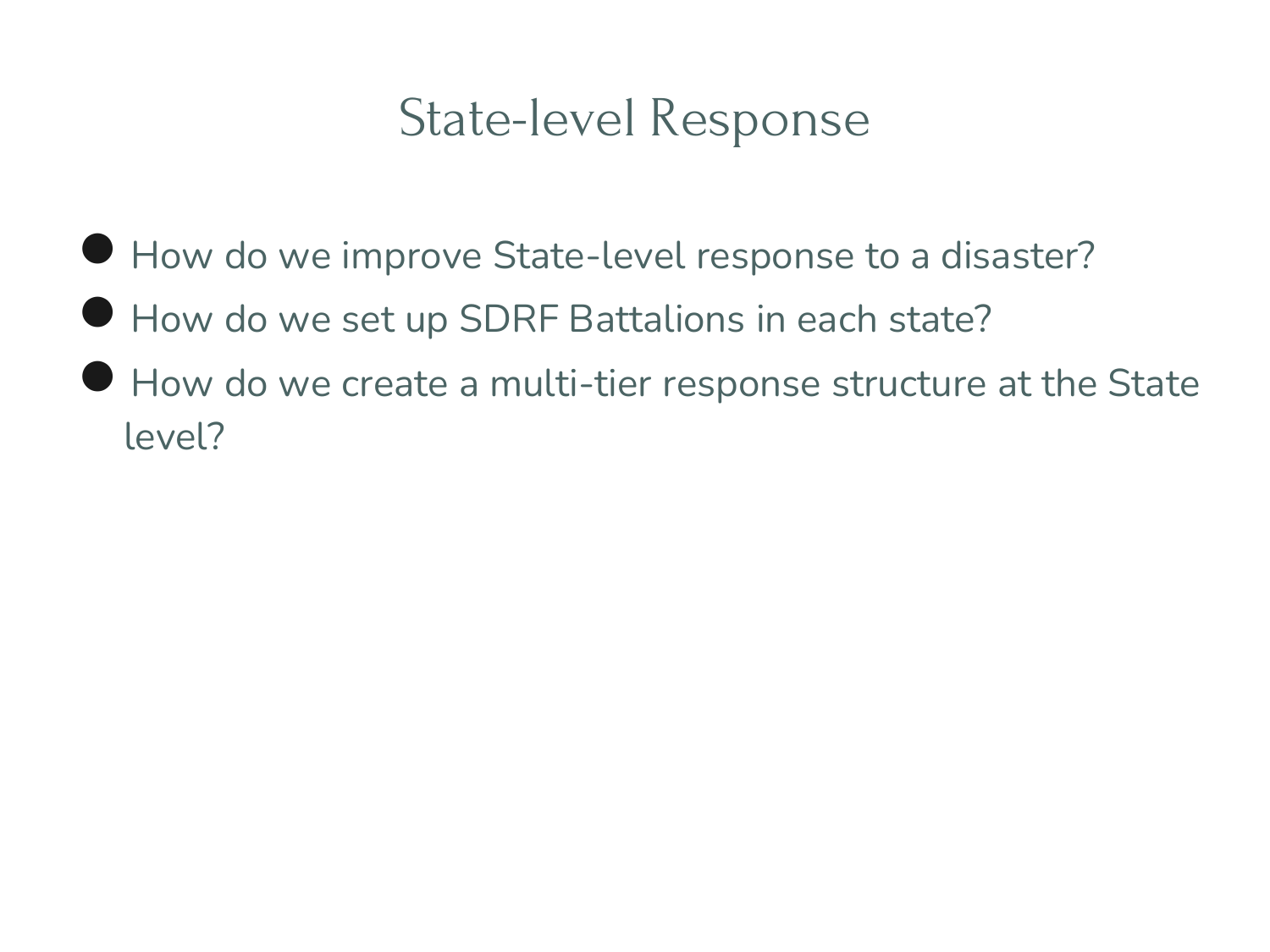#### State-level Response

- How do we improve State-level response to a disaster?
- How do we set up SDRF Battalions in each state?
- How do we create a multi-tier response structure at the State level?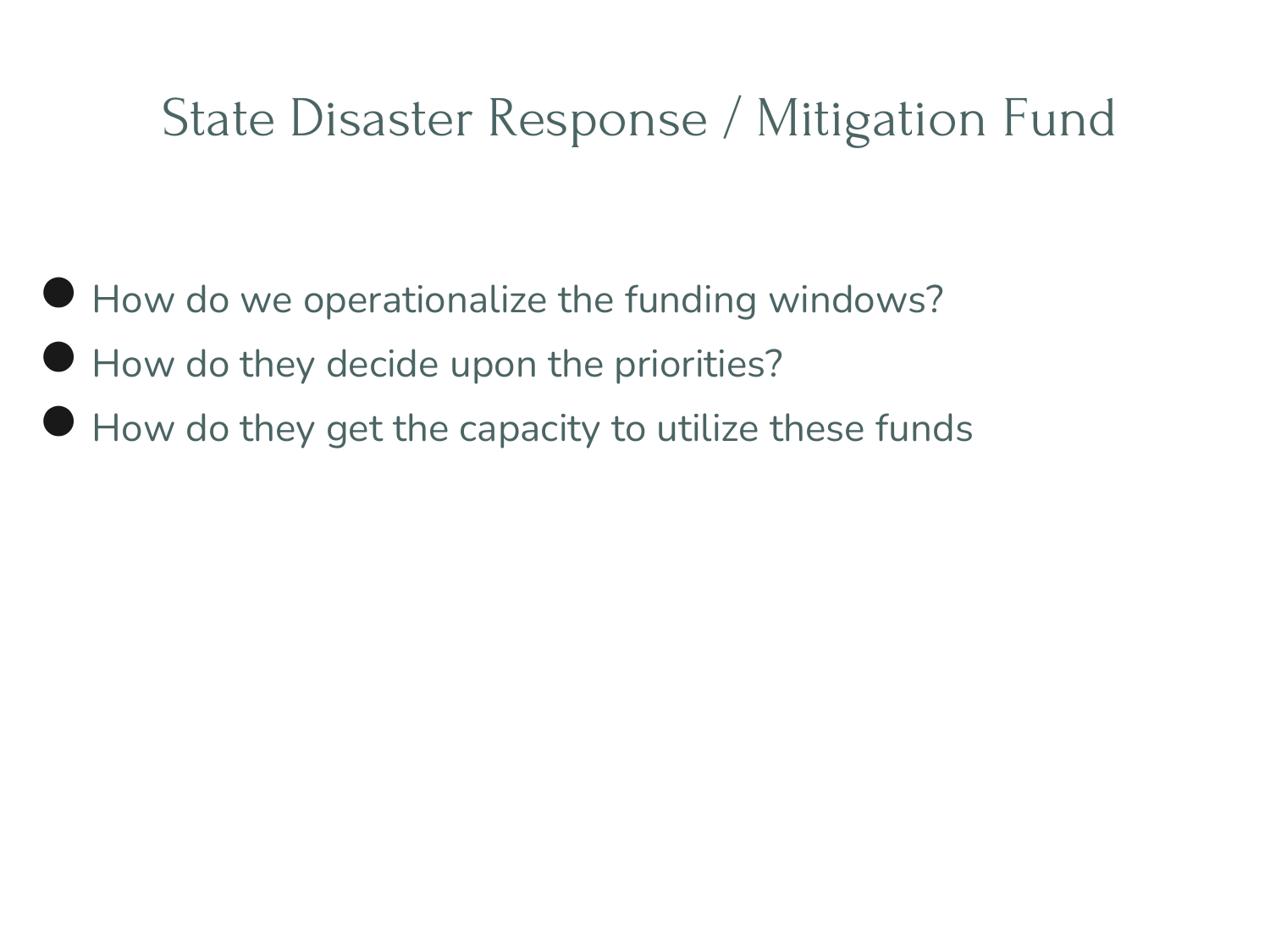#### State Disaster Response / Mitigation Fund

- How do we operationalize the funding windows?
- How do they decide upon the priorities?
- $\bullet$  How do they get the capacity to utilize these funds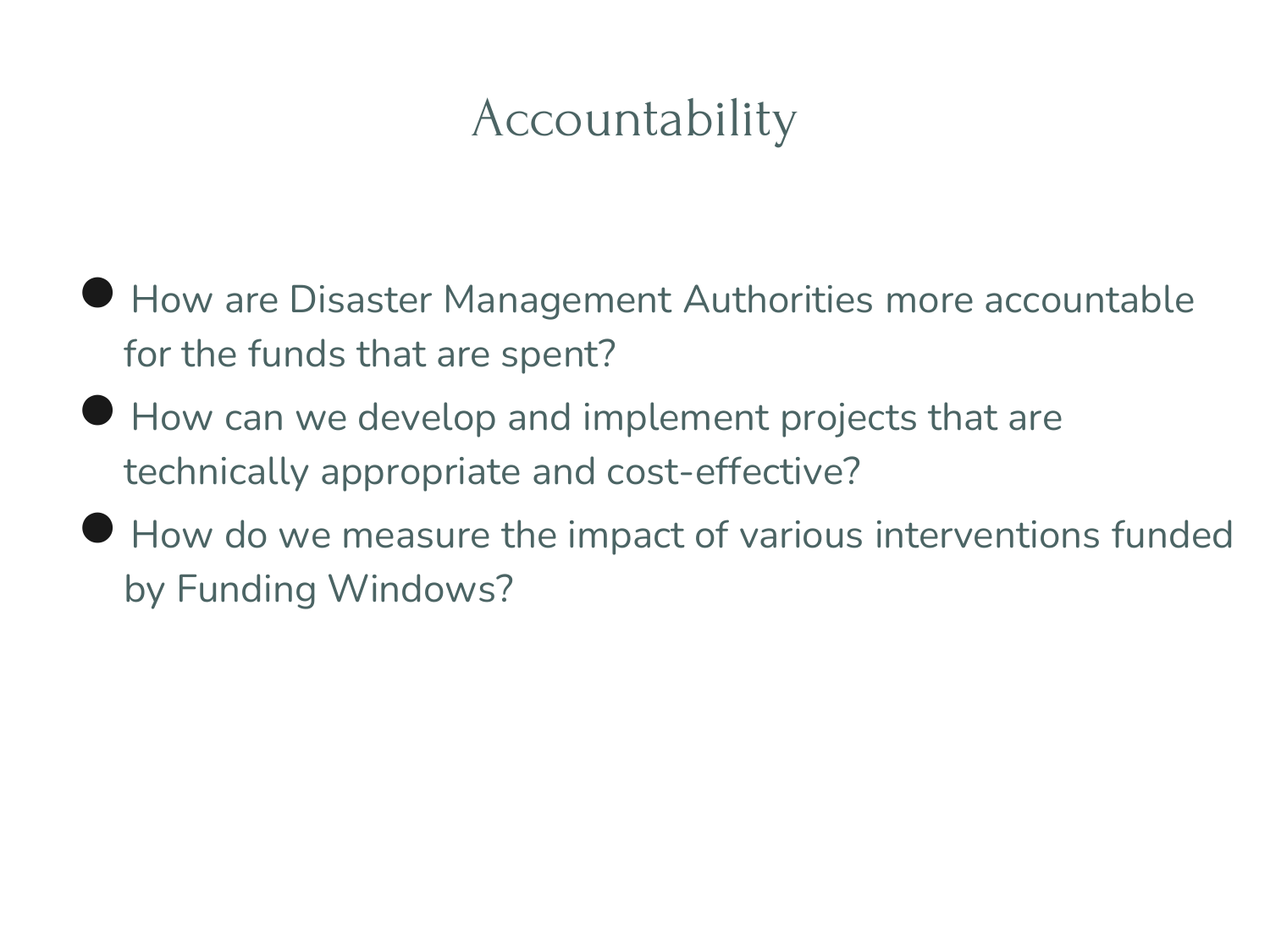# Accountability

- How are Disaster Management Authorities more accountable for the funds that are spent?
- How can we develop and implement projects that are technically appropriate and cost-effective?
- How do we measure the impact of various interventions funded by Funding Windows?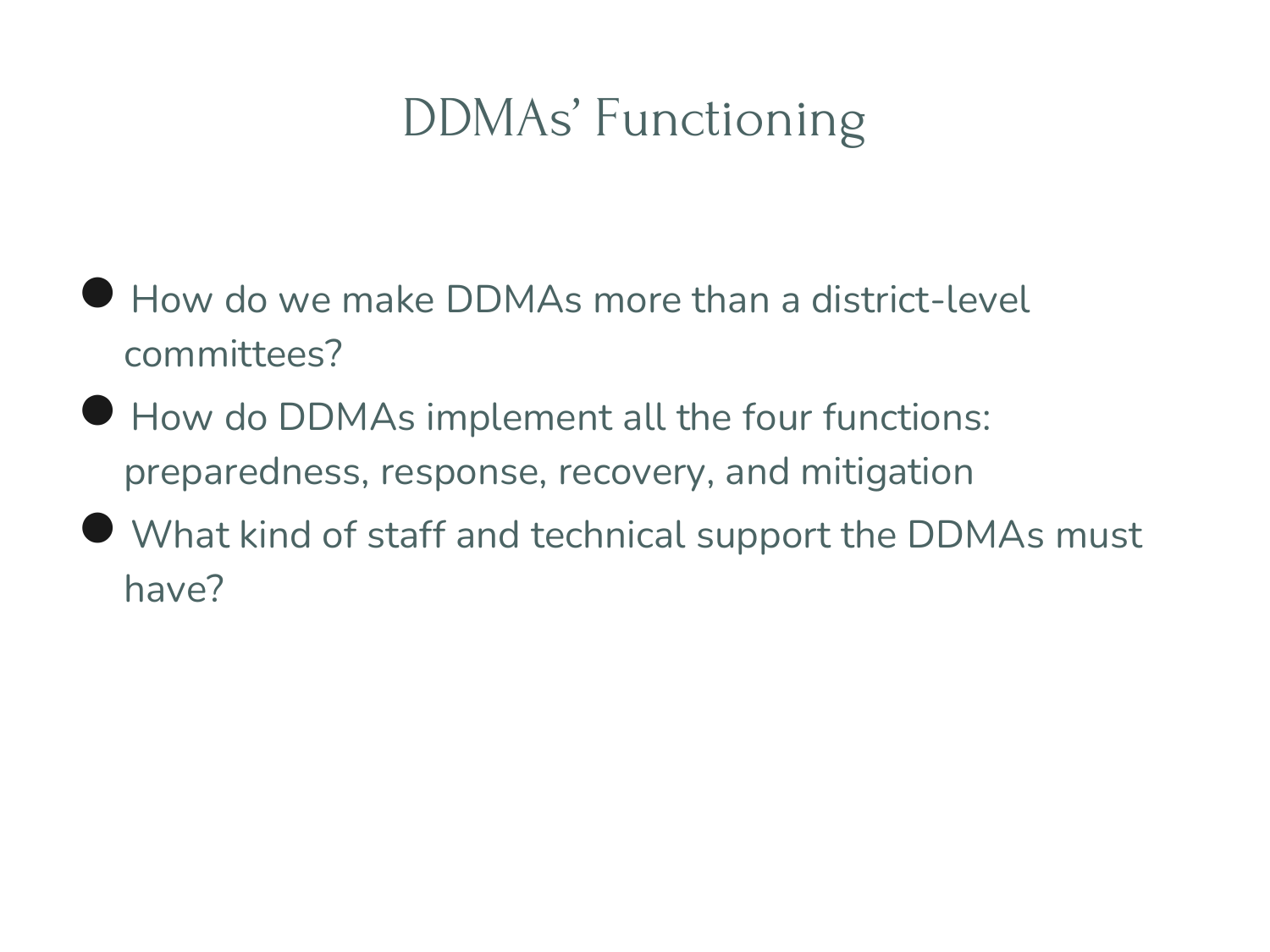# DDMAs' Functioning

- How do we make DDMAs more than a district-level committees?
- How do DDMAs implement all the four functions: preparedness, response, recovery, and mitigation
- What kind of staff and technical support the DDMAs must have?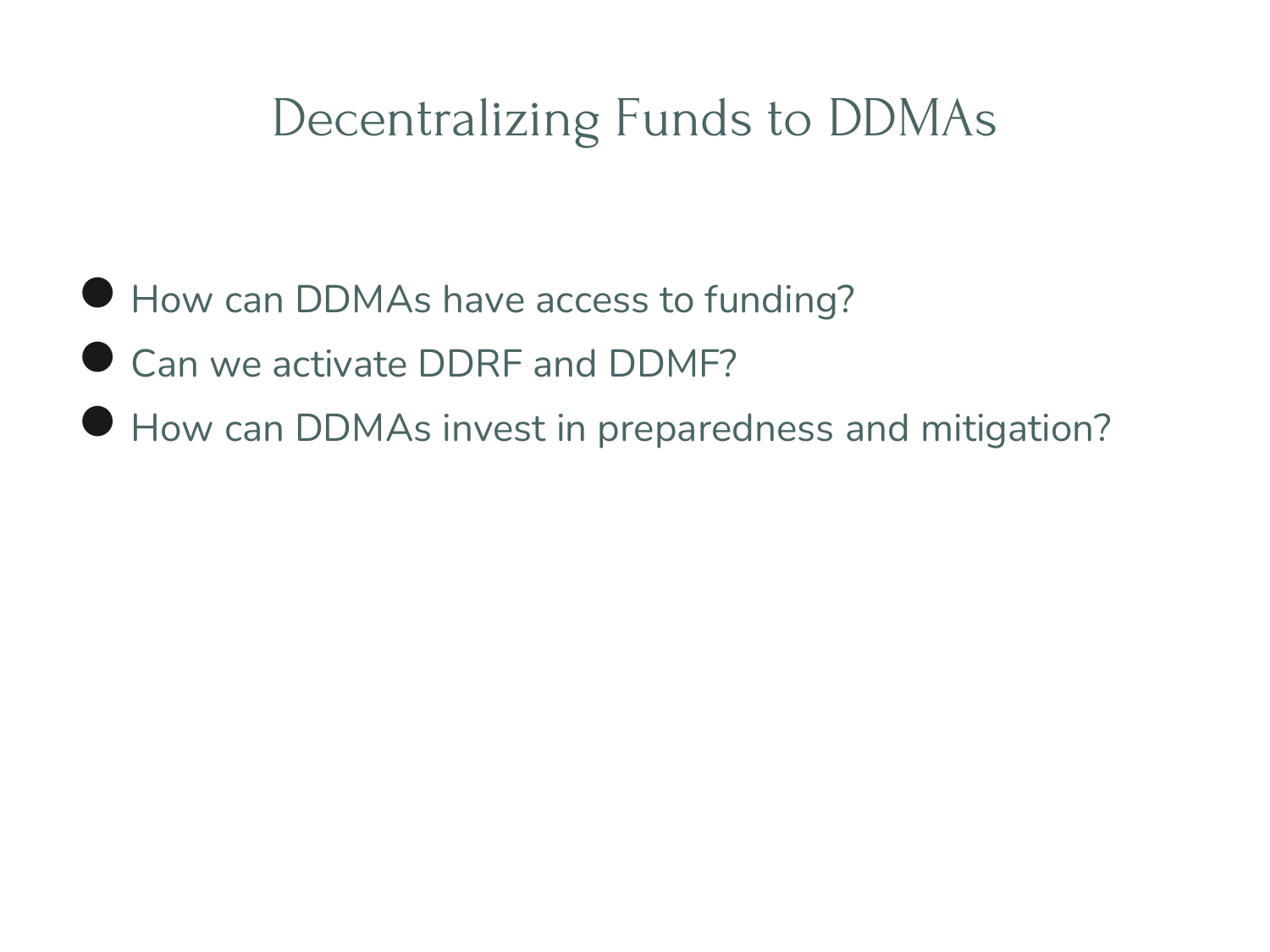#### Decentralizing Funds to DDMAs

- How can DDMAs have access to funding?
- Can we activate DDRF and DDMF?
- How can DDMAs invest in preparedness and mitigation?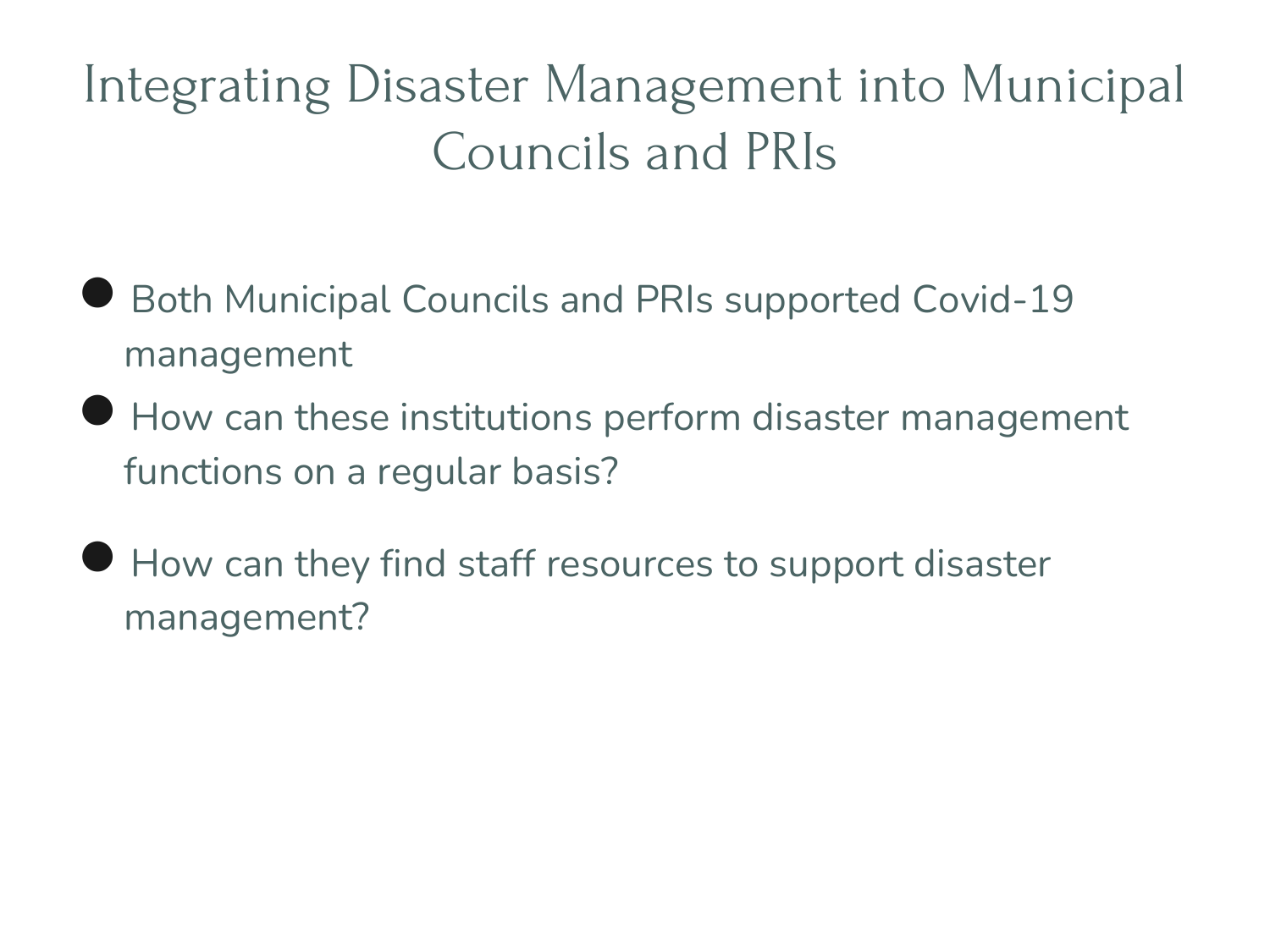# Integrating Disaster Management into Municipal Councils and PRIs

- **Both Municipal Councils and PRIs supported Covid-19** management
- How can these institutions perform disaster management functions on a regular basis?
- How can they find staff resources to support disaster management?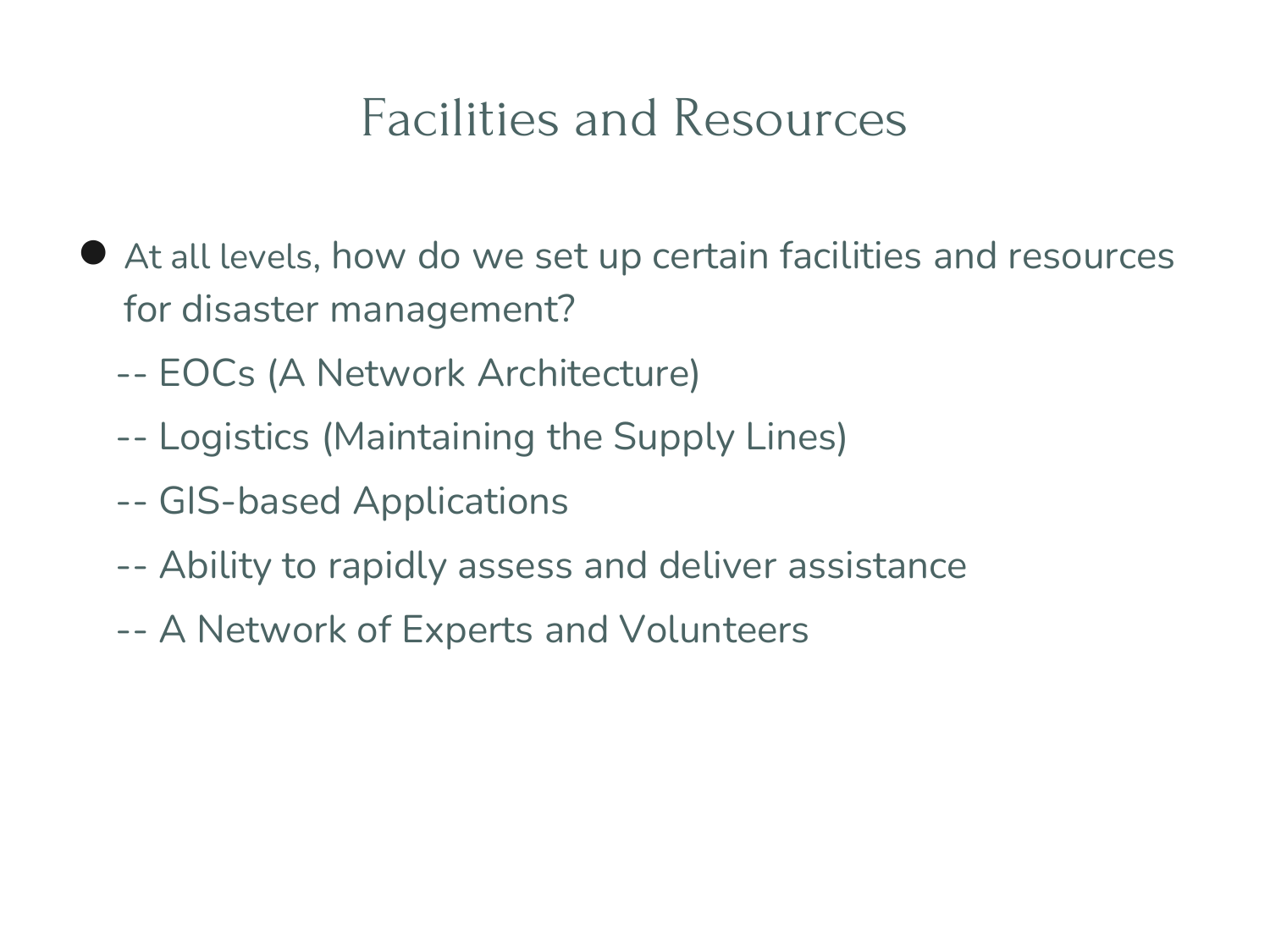#### Facilities and Resources

- At all levels, how do we set up certain facilities and resources for disaster management?
	- -- EOCs (A Network Architecture)
	- -- Logistics (Maintaining the Supply Lines)
	- -- GIS-based Applications
	- -- Ability to rapidly assess and deliver assistance
	- -- A Network of Experts and Volunteers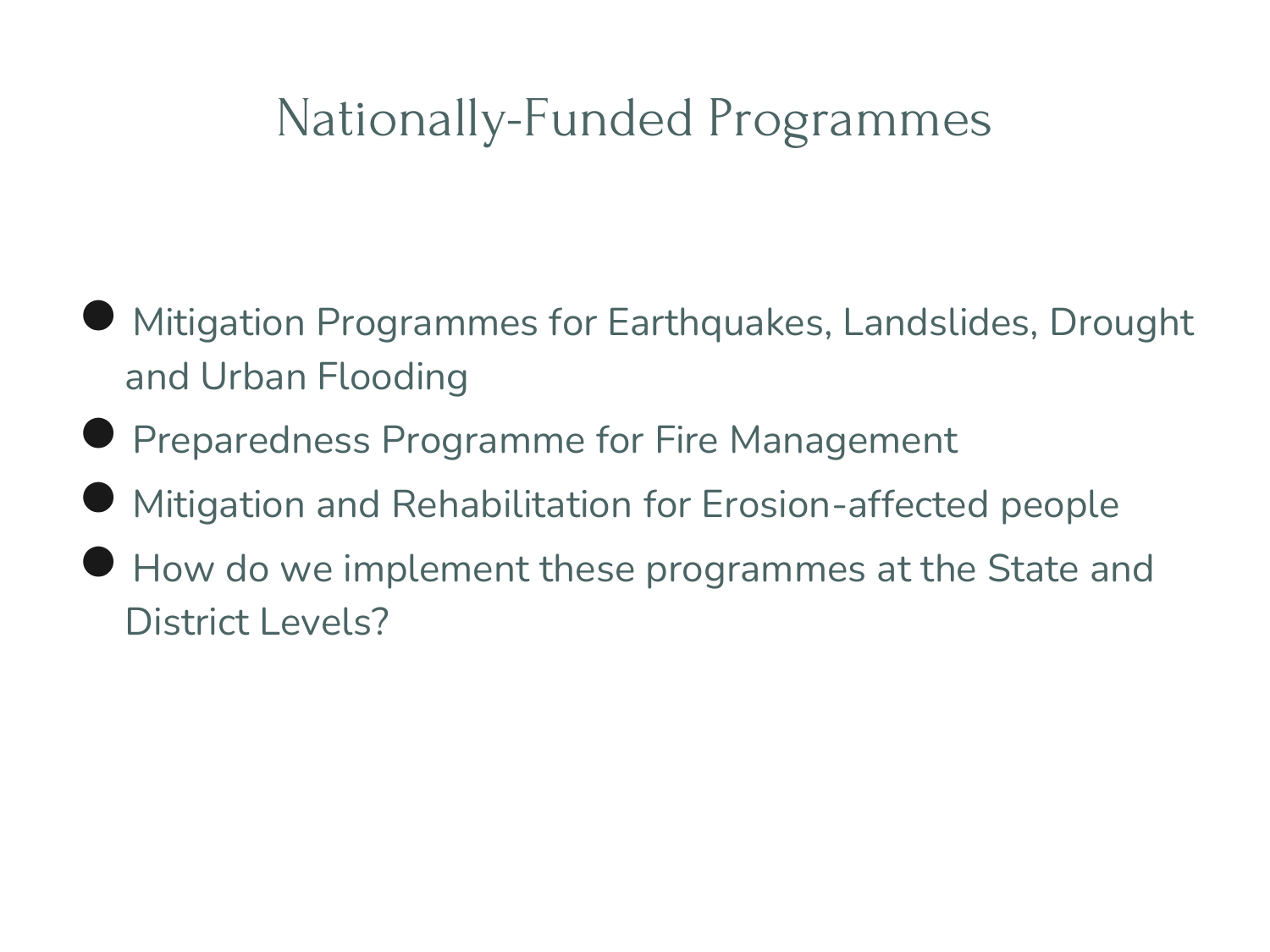## Nationally-Funded Programmes

- Mitigation Programmes for Earthquakes, Landslides, Drought and Urban Flooding
- **Preparedness Programme for Fire Management**
- Mitigation and Rehabilitation for Erosion-affected people
- How do we implement these programmes at the State and District Levels?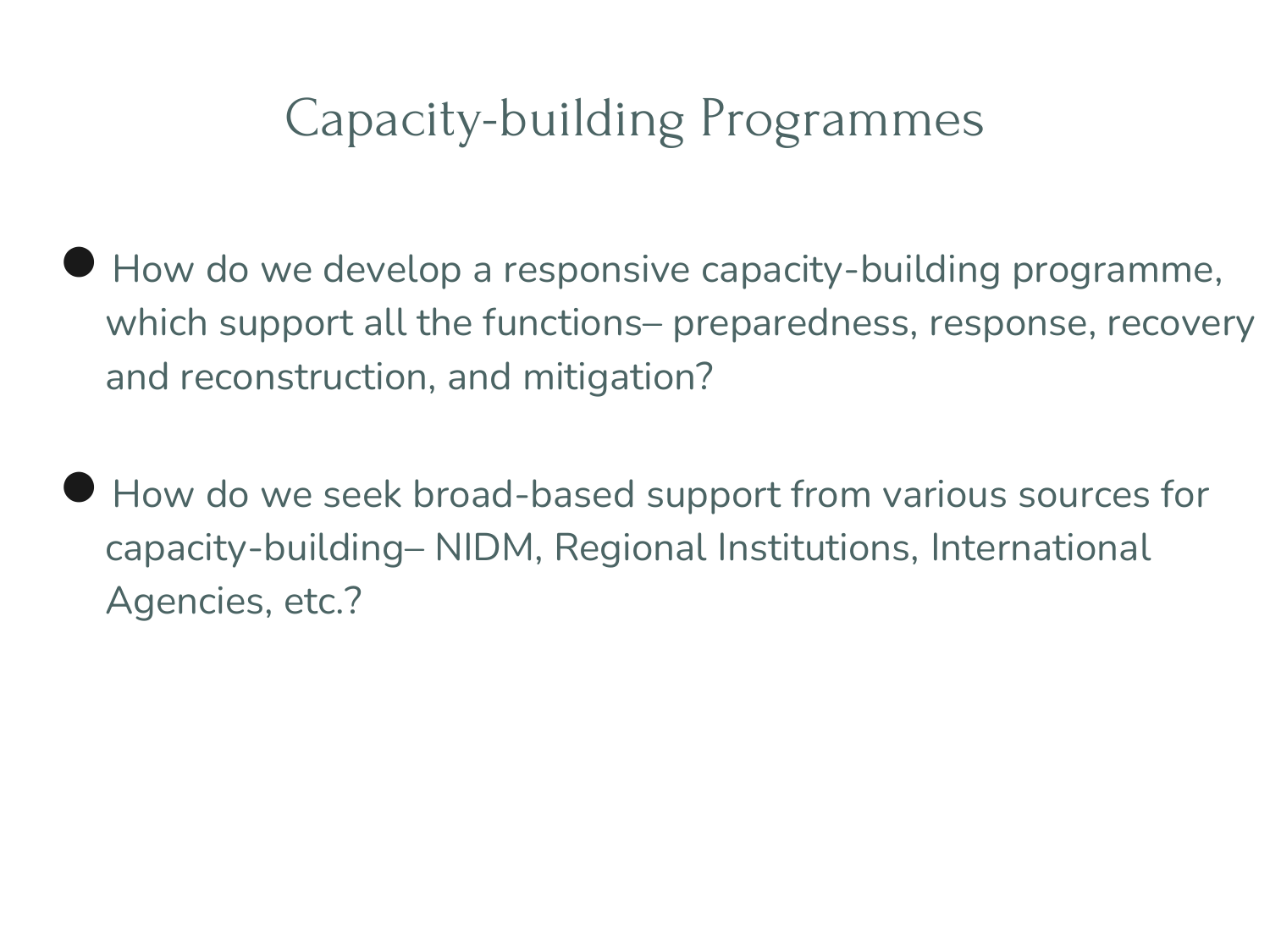### Capacity-building Programmes

- How do we develop a responsive capacity-building programme, which support all the functions– preparedness, response, recovery and reconstruction, and mitigation?
- How do we seek broad-based support from various sources for capacity-building– NIDM, Regional Institutions, International Agencies, etc.?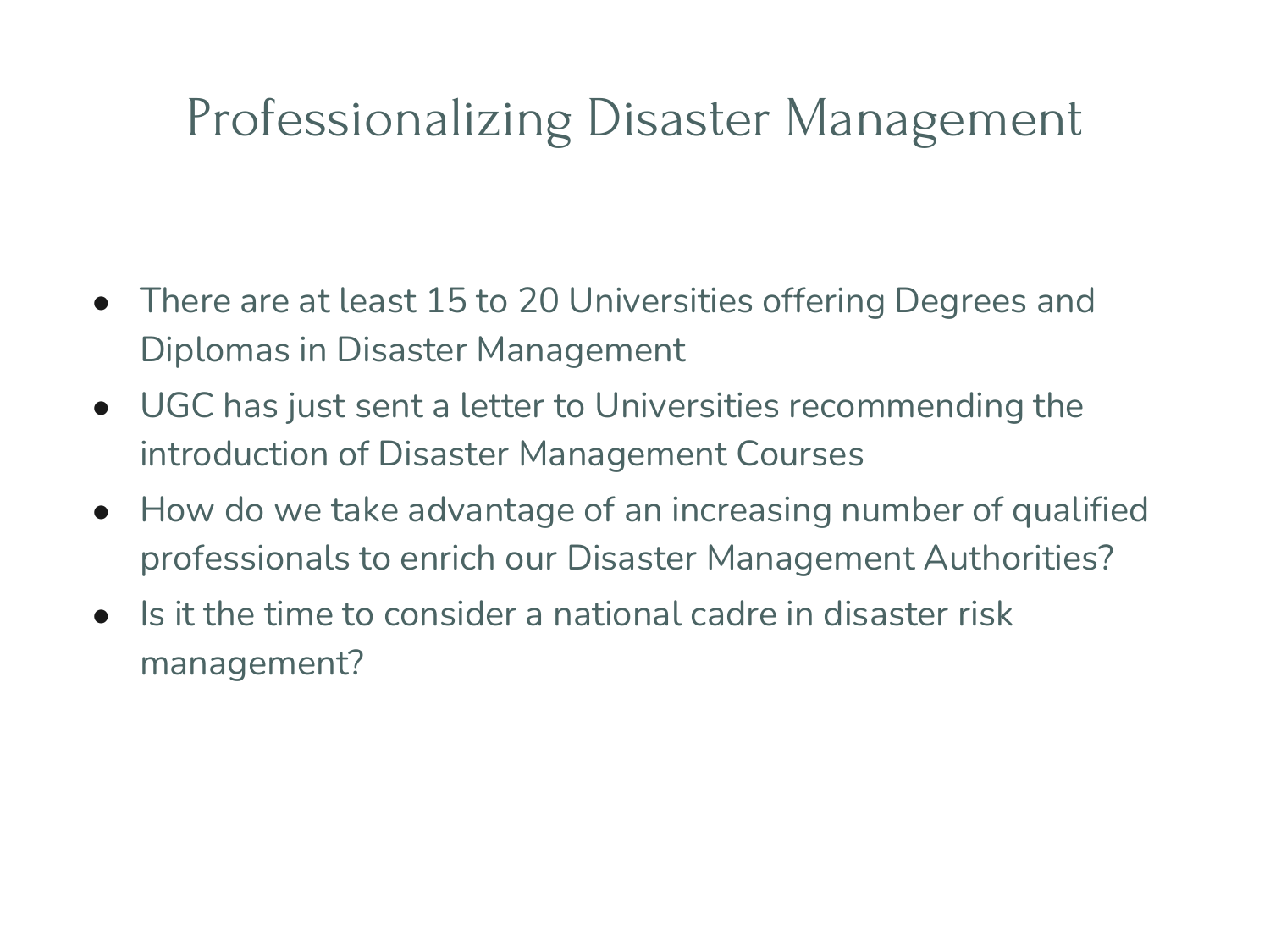#### Professionalizing Disaster Management

- There are at least 15 to 20 Universities offering Degrees and Diplomas in Disaster Management
- UGC has just sent a letter to Universities recommending the introduction of Disaster Management Courses
- How do we take advantage of an increasing number of qualified professionals to enrich our Disaster Management Authorities?
- $\bullet$  Is it the time to consider a national cadre in disaster risk management?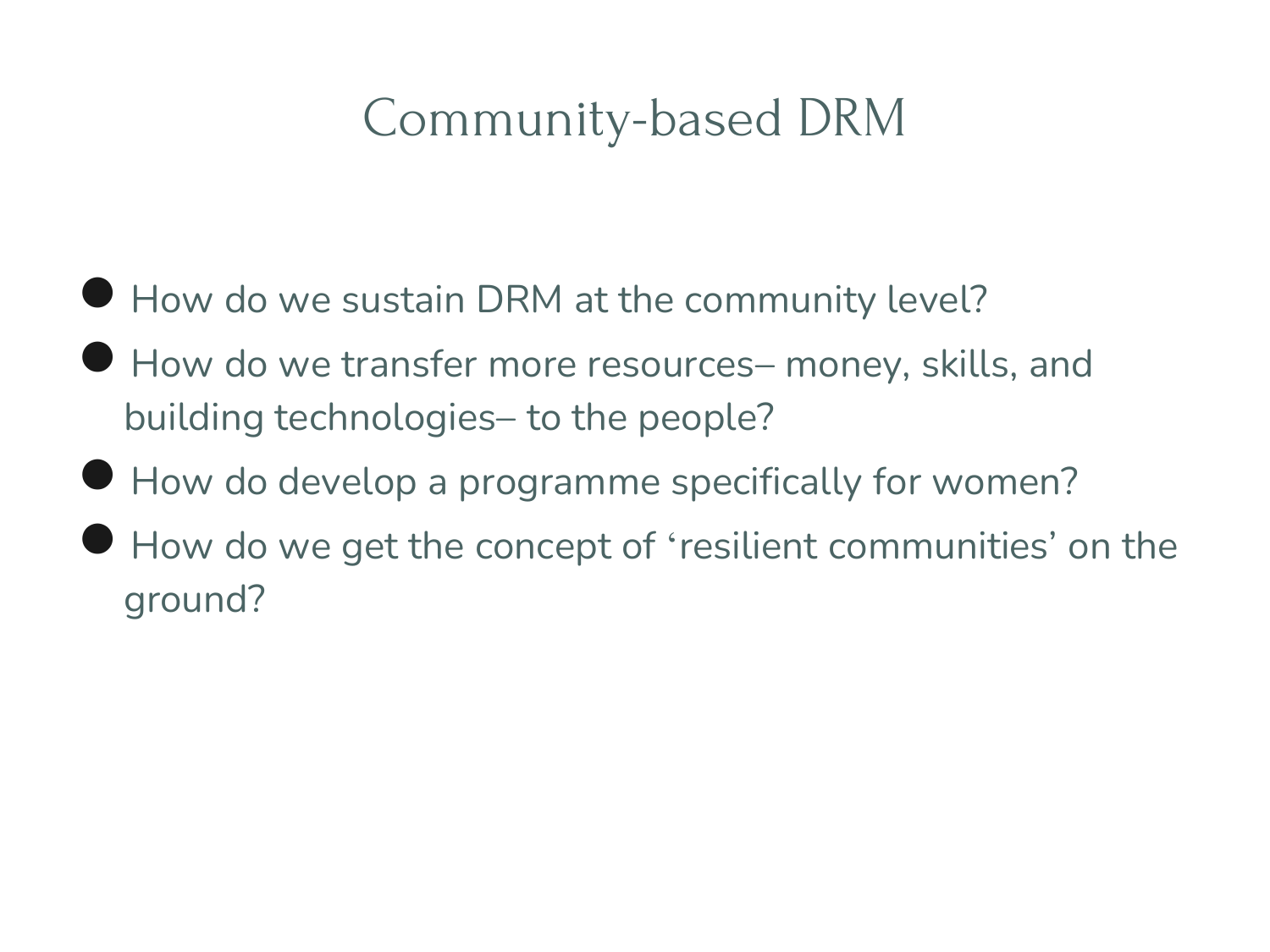# Community-based DRM

- **How do we sustain DRM at the community level?**
- How do we transfer more resources- money, skills, and building technologies– to the people?
- How do develop a programme specifically for women?
- How do we get the concept of 'resilient communities' on the ground?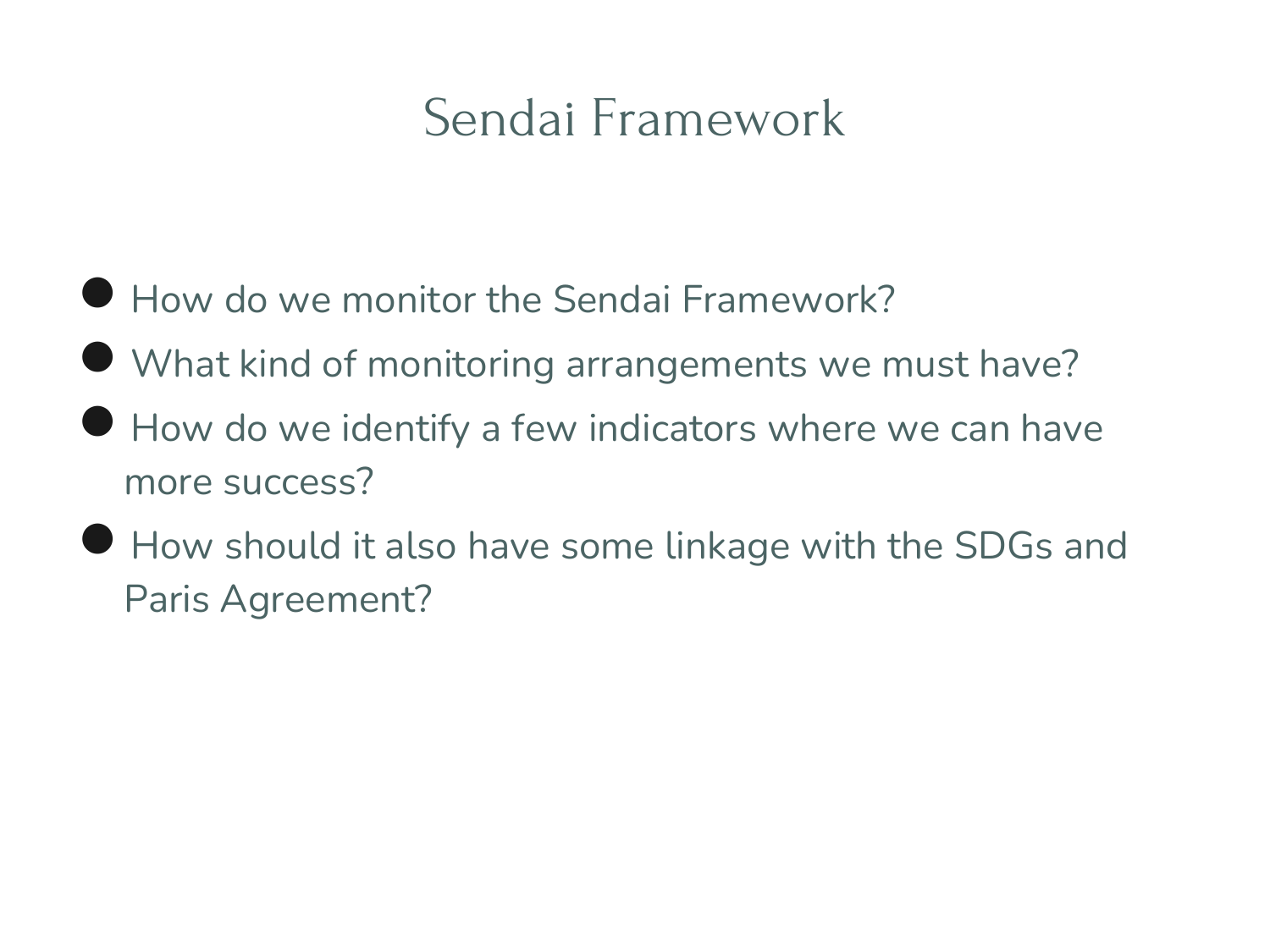# Sendai Framework

- How do we monitor the Sendai Framework?
- What kind of monitoring arrangements we must have?
- How do we identify a few indicators where we can have more success?
- How should it also have some linkage with the SDGs and Paris Agreement?